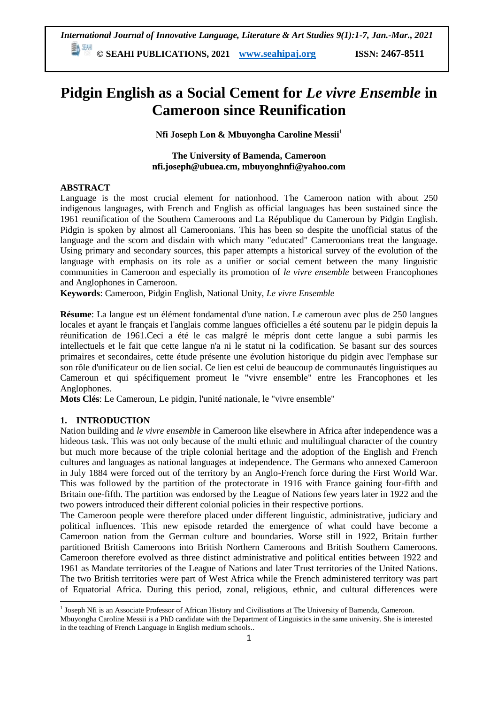# **Pidgin English as a Social Cement for** *Le vivre Ensemble* **in Cameroon since Reunification**

**Nfi Joseph Lon & Mbuyongha Caroline Messii<sup>1</sup>**

**The University of Bamenda, Cameroon nfi.joseph@ubuea.cm, mbuyonghnfi@yahoo.com**

# **ABSTRACT**

Language is the most crucial element for nationhood. The Cameroon nation with about 250 indigenous languages, with French and English as official languages has been sustained since the 1961 reunification of the Southern Cameroons and La République du Cameroun by Pidgin English. Pidgin is spoken by almost all Cameroonians. This has been so despite the unofficial status of the language and the scorn and disdain with which many "educated" Cameroonians treat the language. Using primary and secondary sources, this paper attempts a historical survey of the evolution of the language with emphasis on its role as a unifier or social cement between the many linguistic communities in Cameroon and especially its promotion of *le vivre ensemble* between Francophones and Anglophones in Cameroon.

**Keywords**: Cameroon, Pidgin English, National Unity, *Le vivre Ensemble*

**Résume**: La langue est un élément fondamental d'une nation. Le cameroun avec plus de 250 langues locales et ayant le français et l'anglais comme langues officielles a été soutenu par le pidgin depuis la réunification de 1961.Ceci a été le cas malgré le mépris dont cette langue a subi parmis les intellectuels et le fait que cette langue n'a ni le statut ni la codification. Se basant sur des sources primaires et secondaires, cette étude présente une évolution historique du pidgin avec l'emphase sur son rôle d'unificateur ou de lien social. Ce lien est celui de beaucoup de communautés linguistiques au Cameroun et qui spécifiquement promeut le "vivre ensemble" entre les Francophones et les Anglophones.

**Mots Clés**: Le Cameroun, Le pidgin, l'unité nationale, le "vivre ensemble"

# **1. INTRODUCTION**

Nation building and *le vivre ensemble* in Cameroon like elsewhere in Africa after independence was a hideous task. This was not only because of the multi ethnic and multilingual character of the country but much more because of the triple colonial heritage and the adoption of the English and French cultures and languages as national languages at independence. The Germans who annexed Cameroon in July 1884 were forced out of the territory by an Anglo-French force during the First World War. This was followed by the partition of the protectorate in 1916 with France gaining four-fifth and Britain one-fifth. The partition was endorsed by the League of Nations few years later in 1922 and the two powers introduced their different colonial policies in their respective portions.

The Cameroon people were therefore placed under different linguistic, administrative, judiciary and political influences. This new episode retarded the emergence of what could have become a Cameroon nation from the German culture and boundaries. Worse still in 1922, Britain further partitioned British Cameroons into British Northern Cameroons and British Southern Cameroons. Cameroon therefore evolved as three distinct administrative and political entities between 1922 and 1961 as Mandate territories of the League of Nations and later Trust territories of the United Nations. The two British territories were part of West Africa while the French administered territory was part of Equatorial Africa. During this period, zonal, religious, ethnic, and cultural differences were

 1 Joseph Nfi is an Associate Professor of African History and Civilisations at The University of Bamenda, Cameroon.

Mbuyongha Caroline Messii is a PhD candidate with the Department of Linguistics in the same university. She is interested in the teaching of French Language in English medium schools..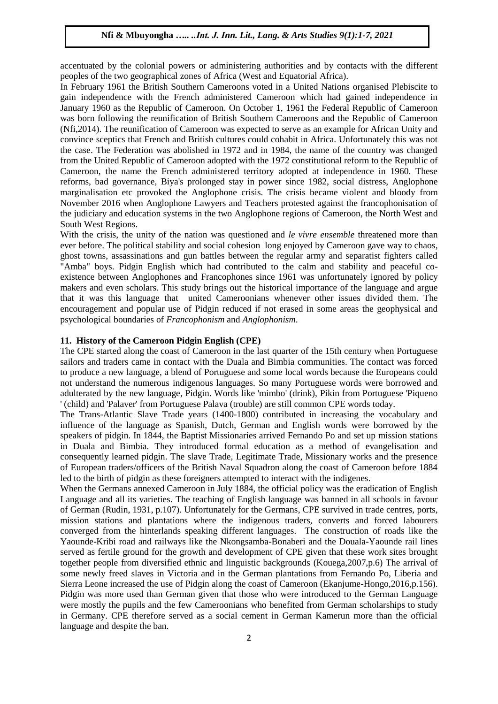accentuated by the colonial powers or administering authorities and by contacts with the different peoples of the two geographical zones of Africa (West and Equatorial Africa).

In February 1961 the British Southern Cameroons voted in a United Nations organised Plebiscite to gain independence with the French administered Cameroon which had gained independence in January 1960 as the Republic of Cameroon. On October 1, 1961 the Federal Republic of Cameroon was born following the reunification of British Southern Cameroons and the Republic of Cameroon (Nfi,2014). The reunification of Cameroon was expected to serve as an example for African Unity and convince sceptics that French and British cultures could cohabit in Africa. Unfortunately this was not the case. The Federation was abolished in 1972 and in 1984, the name of the country was changed from the United Republic of Cameroon adopted with the 1972 constitutional reform to the Republic of Cameroon, the name the French administered territory adopted at independence in 1960. These reforms, bad governance, Biya's prolonged stay in power since 1982, social distress, Anglophone marginalisation etc provoked the Anglophone crisis. The crisis became violent and bloody from November 2016 when Anglophone Lawyers and Teachers protested against the francophonisation of the judiciary and education systems in the two Anglophone regions of Cameroon, the North West and South West Regions.

With the crisis, the unity of the nation was questioned and *le vivre ensemble* threatened more than ever before. The political stability and social cohesion long enjoyed by Cameroon gave way to chaos, ghost towns, assassinations and gun battles between the regular army and separatist fighters called "Amba" boys. Pidgin English which had contributed to the calm and stability and peaceful coexistence between Anglophones and Francophones since 1961 was unfortunately ignored by policy makers and even scholars. This study brings out the historical importance of the language and argue that it was this language that united Cameroonians whenever other issues divided them. The encouragement and popular use of Pidgin reduced if not erased in some areas the geophysical and psychological boundaries of *Francophonism* and *Anglophonism*.

#### **11. History of the Cameroon Pidgin English (CPE)**

The CPE started along the coast of Cameroon in the last quarter of the 15th century when Portuguese sailors and traders came in contact with the Duala and Bimbia communities. The contact was forced to produce a new language, a blend of Portuguese and some local words because the Europeans could not understand the numerous indigenous languages. So many Portuguese words were borrowed and adulterated by the new language, Pidgin. Words like 'mimbo' (drink), Pikin from Portuguese 'Piqueno ' (child) and 'Palaver' from Portuguese Palava (trouble) are still common CPE words today.

The Trans-Atlantic Slave Trade years (1400-1800) contributed in increasing the vocabulary and influence of the language as Spanish, Dutch, German and English words were borrowed by the speakers of pidgin. In 1844, the Baptist Missionaries arrived Fernando Po and set up mission stations in Duala and Bimbia. They introduced formal education as a method of evangelisation and consequently learned pidgin. The slave Trade, Legitimate Trade, Missionary works and the presence of European traders/officers of the British Naval Squadron along the coast of Cameroon before 1884 led to the birth of pidgin as these foreigners attempted to interact with the indigenes.

When the Germans annexed Cameroon in July 1884, the official policy was the eradication of English Language and all its varieties. The teaching of English language was banned in all schools in favour of German (Rudin, 1931, p.107). Unfortunately for the Germans, CPE survived in trade centres, ports, mission stations and plantations where the indigenous traders, converts and forced labourers converged from the hinterlands speaking different languages. The construction of roads like the Yaounde-Kribi road and railways like the Nkongsamba-Bonaberi and the Douala-Yaounde rail lines served as fertile ground for the growth and development of CPE given that these work sites brought together people from diversified ethnic and linguistic backgrounds (Kouega,2007,p.6) The arrival of some newly freed slaves in Victoria and in the German plantations from Fernando Po, Liberia and Sierra Leone increased the use of Pidgin along the coast of Cameroon (Ekanjume-Hongo,2016,p.156). Pidgin was more used than German given that those who were introduced to the German Language were mostly the pupils and the few Cameroonians who benefited from German scholarships to study in Germany. CPE therefore served as a social cement in German Kamerun more than the official language and despite the ban.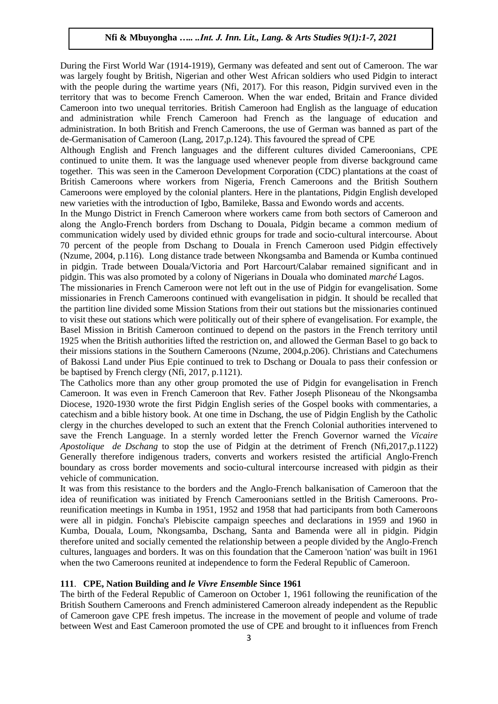During the First World War (1914-1919), Germany was defeated and sent out of Cameroon. The war was largely fought by British, Nigerian and other West African soldiers who used Pidgin to interact with the people during the wartime years (Nfi, 2017). For this reason, Pidgin survived even in the territory that was to become French Cameroon. When the war ended, Britain and France divided Cameroon into two unequal territories. British Cameroon had English as the language of education and administration while French Cameroon had French as the language of education and administration. In both British and French Cameroons, the use of German was banned as part of the de-Germanisation of Cameroon (Lang, 2017,p.124). This favoured the spread of CPE

Although English and French languages and the different cultures divided Cameroonians, CPE continued to unite them. It was the language used whenever people from diverse background came together. This was seen in the Cameroon Development Corporation (CDC) plantations at the coast of British Cameroons where workers from Nigeria, French Cameroons and the British Southern Cameroons were employed by the colonial planters. Here in the plantations, Pidgin English developed new varieties with the introduction of Igbo, Bamileke, Bassa and Ewondo words and accents.

In the Mungo District in French Cameroon where workers came from both sectors of Cameroon and along the Anglo-French borders from Dschang to Douala, Pidgin became a common medium of communication widely used by divided ethnic groups for trade and socio-cultural intercourse. About 70 percent of the people from Dschang to Douala in French Cameroon used Pidgin effectively (Nzume, 2004, p.116). Long distance trade between Nkongsamba and Bamenda or Kumba continued in pidgin. Trade between Douala/Victoria and Port Harcourt/Calabar remained significant and in pidgin. This was also promoted by a colony of Nigerians in Douala who dominated *marché* Lagos.

The missionaries in French Cameroon were not left out in the use of Pidgin for evangelisation. Some missionaries in French Cameroons continued with evangelisation in pidgin. It should be recalled that the partition line divided some Mission Stations from their out stations but the missionaries continued to visit these out stations which were politically out of their sphere of evangelisation. For example, the Basel Mission in British Cameroon continued to depend on the pastors in the French territory until 1925 when the British authorities lifted the restriction on, and allowed the German Basel to go back to their missions stations in the Southern Cameroons (Nzume, 2004,p.206). Christians and Catechumens of Bakossi Land under Pius Epie continued to trek to Dschang or Douala to pass their confession or be baptised by French clergy (Nfi, 2017, p.1121).

The Catholics more than any other group promoted the use of Pidgin for evangelisation in French Cameroon. It was even in French Cameroon that Rev. Father Joseph Plisoneau of the Nkongsamba Diocese, 1920-1930 wrote the first Pidgin English series of the Gospel books with commentaries, a catechism and a bible history book. At one time in Dschang, the use of Pidgin English by the Catholic clergy in the churches developed to such an extent that the French Colonial authorities intervened to save the French Language. In a sternly worded letter the French Governor warned the *Vicaire Apostolique de Dschang* to stop the use of Pidgin at the detriment of French (Nfi,2017,p.1122) Generally therefore indigenous traders, converts and workers resisted the artificial Anglo-French boundary as cross border movements and socio-cultural intercourse increased with pidgin as their vehicle of communication.

It was from this resistance to the borders and the Anglo-French balkanisation of Cameroon that the idea of reunification was initiated by French Cameroonians settled in the British Cameroons. Proreunification meetings in Kumba in 1951, 1952 and 1958 that had participants from both Cameroons were all in pidgin. Foncha's Plebiscite campaign speeches and declarations in 1959 and 1960 in Kumba, Douala, Loum, Nkongsamba, Dschang, Santa and Bamenda were all in pidgin. Pidgin therefore united and socially cemented the relationship between a people divided by the Anglo-French cultures, languages and borders. It was on this foundation that the Cameroon 'nation' was built in 1961 when the two Cameroons reunited at independence to form the Federal Republic of Cameroon.

#### **111**. **CPE, Nation Building and** *le Vivre Ensemble* **Since 1961**

The birth of the Federal Republic of Cameroon on October 1, 1961 following the reunification of the British Southern Cameroons and French administered Cameroon already independent as the Republic of Cameroon gave CPE fresh impetus. The increase in the movement of people and volume of trade between West and East Cameroon promoted the use of CPE and brought to it influences from French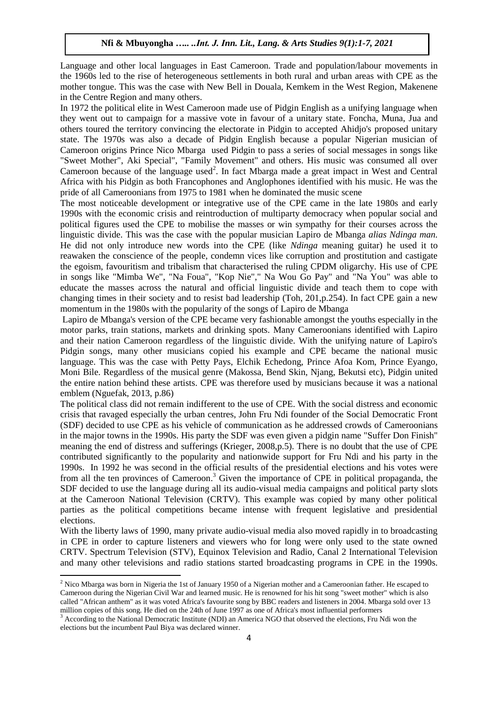Language and other local languages in East Cameroon. Trade and population/labour movements in the 1960s led to the rise of heterogeneous settlements in both rural and urban areas with CPE as the mother tongue. This was the case with New Bell in Douala, Kemkem in the West Region, Makenene in the Centre Region and many others.

In 1972 the political elite in West Cameroon made use of Pidgin English as a unifying language when they went out to campaign for a massive vote in favour of a unitary state. Foncha, Muna, Jua and others toured the territory convincing the electorate in Pidgin to accepted Ahidjo's proposed unitary state. The 1970s was also a decade of Pidgin English because a popular Nigerian musician of Cameroon origins Prince Nico Mbarga used Pidgin to pass a series of social messages in songs like "Sweet Mother", Aki Special", "Family Movement" and others. His music was consumed all over Cameroon because of the language used<sup>2</sup>. In fact Mbarga made a great impact in West and Central Africa with his Pidgin as both Francophones and Anglophones identified with his music. He was the pride of all Cameroonians from 1975 to 1981 when he dominated the music scene

The most noticeable development or integrative use of the CPE came in the late 1980s and early 1990s with the economic crisis and reintroduction of multiparty democracy when popular social and political figures used the CPE to mobilise the masses or win sympathy for their courses across the linguistic divide. This was the case with the popular musician Lapiro de Mbanga *alias Ndinga man.* He did not only introduce new words into the CPE (like *Ndinga* meaning guitar) he used it to reawaken the conscience of the people, condemn vices like corruption and prostitution and castigate the egoism, favouritism and tribalism that characterised the ruling CPDM oligarchy. His use of CPE in songs like "Mimba We", "Na Foua", "Kop Nie"," Na Wou Go Pay" and "Na You" was able to educate the masses across the natural and official linguistic divide and teach them to cope with changing times in their society and to resist bad leadership (Toh, 201,p.254). In fact CPE gain a new momentum in the 1980s with the popularity of the songs of Lapiro de Mbanga

Lapiro de Mbanga's version of the CPE became very fashionable amongst the youths especially in the motor parks, train stations, markets and drinking spots. Many Cameroonians identified with Lapiro and their nation Cameroon regardless of the linguistic divide. With the unifying nature of Lapiro's Pidgin songs, many other musicians copied his example and CPE became the national music language. This was the case with Petty Pays, Elchik Echedong, Prince Afoa Kom, Prince Eyango, Moni Bile. Regardless of the musical genre (Makossa, Bend Skin, Njang, Bekutsi etc), Pidgin united the entire nation behind these artists. CPE was therefore used by musicians because it was a national emblem (Nguefak, 2013, p.86)

The political class did not remain indifferent to the use of CPE. With the social distress and economic crisis that ravaged especially the urban centres, John Fru Ndi founder of the Social Democratic Front (SDF) decided to use CPE as his vehicle of communication as he addressed crowds of Cameroonians in the major towns in the 1990s. His party the SDF was even given a pidgin name "Suffer Don Finish" meaning the end of distress and sufferings (Krieger, 2008,p.5). There is no doubt that the use of CPE contributed significantly to the popularity and nationwide support for Fru Ndi and his party in the 1990s. In 1992 he was second in the official results of the presidential elections and his votes were from all the ten provinces of Cameroon.<sup>3</sup> Given the importance of CPE in political propaganda, the SDF decided to use the language during all its audio-visual media campaigns and political party slots at the Cameroon National Television (CRTV). This example was copied by many other political parties as the political competitions became intense with frequent legislative and presidential elections.

With the liberty laws of 1990, many private audio-visual media also moved rapidly in to broadcasting in CPE in order to capture listeners and viewers who for long were only used to the state owned CRTV. Spectrum Television (STV), Equinox Television and Radio, Canal 2 International Television and many other televisions and radio stations started broadcasting programs in CPE in the 1990s.

 $\overline{a}$ 

<sup>2</sup> Nico Mbarga was born in Nigeria the 1st of January 1950 of a Nigerian mother and a Cameroonian father. He escaped to Cameroon during the Nigerian Civil War and learned music. He is renowned for his hit song "sweet mother" which is also called "African anthem" as it was voted Africa's favourite song by BBC readers and listeners in 2004. Mbarga sold over 13 million copies of this song. He died on the 24th of June 1997 as one of Africa's most influential performers

<sup>&</sup>lt;sup>3</sup> According to the National Democratic Institute (NDI) an America NGO that observed the elections, Fru Ndi won the elections but the incumbent Paul Biya was declared winner.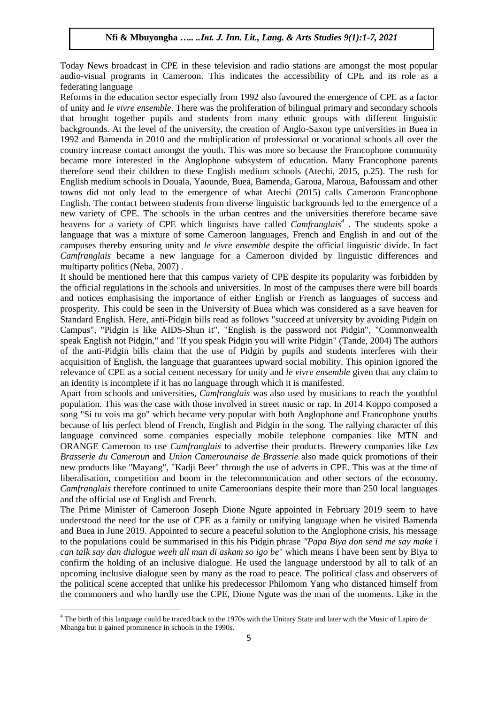Today News broadcast in CPE in these television and radio stations are amongst the most popular audio-visual programs in Cameroon. This indicates the accessibility of CPE and its role as a federating language

Reforms in the education sector especially from 1992 also favoured the emergence of CPE as a factor of unity and *le vivre ensemble*. There was the proliferation of bilingual primary and secondary schools that brought together pupils and students from many ethnic groups with different linguistic backgrounds. At the level of the university, the creation of Anglo-Saxon type universities in Buea in 1992 and Bamenda in 2010 and the multiplication of professional or vocational schools all over the country increase contact amongst the youth. This was more so because the Francophone community became more interested in the Anglophone subsystem of education. Many Francophone parents therefore send their children to these English medium schools (Atechi, 2015, p.25). The rush for English medium schools in Douala, Yaounde, Buea, Bamenda, Garoua, Maroua, Bafoussam and other towns did not only lead to the emergence of what Atechi (2015) calls Cameroon Francophone English. The contact between students from diverse linguistic backgrounds led to the emergence of a new variety of CPE. The schools in the urban centres and the universities therefore became save heavens for a variety of CPE which linguists have called *Camfranglais<sup>4</sup>* . The students spoke a language that was a mixture of some Cameroon languages, French and English in and out of the campuses thereby ensuring unity and *le vivre ensemble* despite the official linguistic divide. In fact *Camfranglais* became a new language for a Cameroon divided by linguistic differences and multiparty politics (Neba, 2007) .

It should be mentioned here that this campus variety of CPE despite its popularity was forbidden by the official regulations in the schools and universities. In most of the campuses there were bill boards and notices emphasising the importance of either English or French as languages of success and prosperity. This could be seen in the University of Buea which was considered as a save heaven for Standard English. Here, anti-Pidgin bills read as follows "succeed at university by avoiding Pidgin on Campus", "Pidgin is like AIDS-Shun it", "English is the password not Pidgin", "Commonwealth speak English not Pidgin," and "If you speak Pidgin you will write Pidgin" (Tande, 2004) The authors of the anti-Pidgin bills claim that the use of Pidgin by pupils and students interferes with their acquisition of English, the language that guarantees upward social mobility. This opinion ignored the relevance of CPE as a social cement necessary for unity and *le vivre ensemble* given that any claim to an identity is incomplete if it has no language through which it is manifested.

Apart from schools and universities, *Camfranglais* was also used by musicians to reach the youthful population. This was the case with those involved in street music or rap. In 2014 Koppo composed a song "Si tu vois ma go" which became very popular with both Anglophone and Francophone youths because of his perfect blend of French, English and Pidgin in the song. The rallying character of this language convinced some companies especially mobile telephone companies like MTN and ORANGE Cameroon to use *Camfranglais* to advertise their products. Brewery companies like *Les Brasserie du Cameroun* and *Union Camerounaise de Brasserie* also made quick promotions of their new products like "Mayang", "Kadji Beer" through the use of adverts in CPE. This was at the time of liberalisation, competition and boom in the telecommunication and other sectors of the economy. *Camfranglais* therefore continued to unite Cameroonians despite their more than 250 local languages and the official use of English and French.

The Prime Minister of Cameroon Joseph Dione Ngute appointed in February 2019 seem to have understood the need for the use of CPE as a family or unifying language when he visited Bamenda and Buea in June 2019. Appointed to secure a peaceful solution to the Anglophone crisis, his message to the populations could be summarised in this his Pidgin phrase *"Papa Biya don send me say make i can talk say dan dialogue weeh all man di askam so igo be*" which means I have been sent by Biya to confirm the holding of an inclusive dialogue. He used the language understood by all to talk of an upcoming inclusive dialogue seen by many as the road to peace. The political class and observers of the political scene accepted that unlike his predecessor Philomom Yang who distanced himself from the commoners and who hardly use the CPE, Dione Ngute was the man of the moments. Like in the

**.** 

 $4$  The birth of this language could be traced back to the 1970s with the Unitary State and later with the Music of Lapiro de Mbanga but it gained prominence in schools in the 1990s.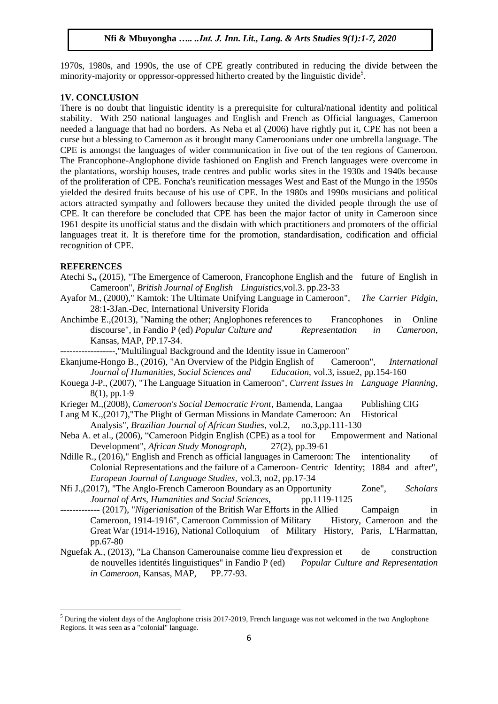1970s, 1980s, and 1990s, the use of CPE greatly contributed in reducing the divide between the minority-majority or oppressor-oppressed hitherto created by the linguistic divide<sup>5</sup>.

#### **1V. CONCLUSION**

There is no doubt that linguistic identity is a prerequisite for cultural/national identity and political stability. With 250 national languages and English and French as Official languages, Cameroon needed a language that had no borders. As Neba et al (2006) have rightly put it, CPE has not been a curse but a blessing to Cameroon as it brought many Cameroonians under one umbrella language. The CPE is amongst the languages of wider communication in five out of the ten regions of Cameroon. The Francophone-Anglophone divide fashioned on English and French languages were overcome in the plantations, worship houses, trade centres and public works sites in the 1930s and 1940s because of the proliferation of CPE. Foncha's reunification messages West and East of the Mungo in the 1950s yielded the desired fruits because of his use of CPE. In the 1980s and 1990s musicians and political actors attracted sympathy and followers because they united the divided people through the use of CPE. It can therefore be concluded that CPE has been the major factor of unity in Cameroon since 1961 despite its unofficial status and the disdain with which practitioners and promoters of the official languages treat it. It is therefore time for the promotion, standardisation, codification and official recognition of CPE.

#### **REFERENCES**

**.** 

- Atechi S**.,** (2015), "The Emergence of Cameroon, Francophone English and the future of English in Cameroon", *British Journal of English Linguistics*,vol.3. pp.23-33
- Ayafor M., (2000)," Kamtok: The Ultimate Unifying Language in Cameroon", *The Carrier Pidgin*, 28:1-3Jan.-Dec, International University Florida
- Anchimbe E.,(2013), "Naming the other; Anglophones references to Francophones in Online discourse", in Fandio P (ed) *Popular Culture and* Representation in Cameroon, Kansas, MAP, PP.17-34.

------------------,"Multilingual Background and the Identity issue in Cameroon"

- Ekanjume-Hongo B., (2016), "An Overview of the Pidgin English of Cameroon", *International Journal of Humanities, Social Sciences and Education*, vol.3, issue2, pp.154-160
- Kouega J-P., (2007), "The Language Situation in Cameroon", *Current Issues in Language Planning*, 8(1), pp.1-9
- Krieger M.,(2008), *Cameroon's Social Democratic Front*, Bamenda, Langaa Publishing CIG
- Lang M K.,(2017), "The Plight of German Missions in Mandate Cameroon: An Historical
	- Analysis", *Brazilian Journal of African Studies*, vol.2, no.3,pp.111-130
- Neba A. et al., (2006), "Cameroon Pidgin English (CPE) as a tool for Empowerment and National Development", *African Study Monograph*, 27(2), pp.39-61
- Ndille R., (2016)," English and French as official languages in Cameroon: The intentionality of Colonial Representations and the failure of a Cameroon- Centric Identity; 1884 and after", *European Journal of Language Studies*, vol.3, no2, pp.17-34
- Nfi J.,(2017), "The Anglo-French Cameroon Boundary as an Opportunity Zone", *Scholars Journal of Arts, Humanities and Social Sciences,* pp.1119-1125
- ------------- (2017), "*Nigerianisation* of the British War Efforts in the Allied Campaign in Cameroon, 1914-1916", Cameroon Commission of Military History, Cameroon and the Great War (1914-1916), National Colloquium of Military History, Paris, L'Harmattan, pp.67-80
- Nguefak A., (2013), "La Chanson Camerounaise comme lieu d'expression et de construction de nouvelles identités linguistiques" in Fandio P (ed) *Popular Culture and Representation in Cameroon,* Kansas, MAP, PP.77-93.

 $<sup>5</sup>$  During the violent days of the Anglophone crisis 2017-2019. French language was not welcomed in the two Anglophone</sup> Regions. It was seen as a "colonial" language.